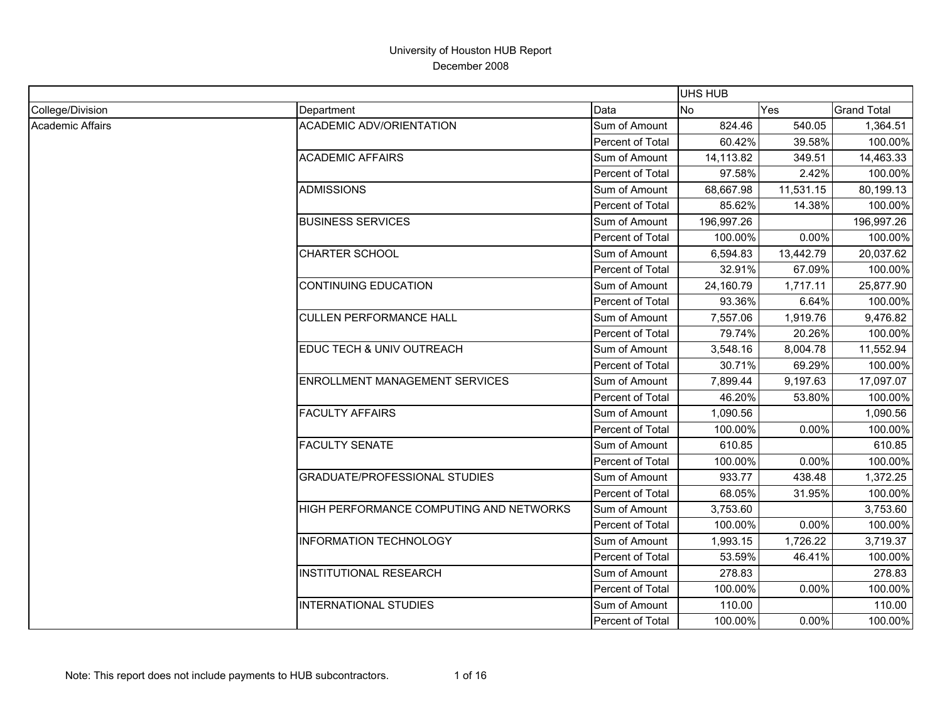|                  |                                         |                  | <b>UHS HUB</b> |           |                    |
|------------------|-----------------------------------------|------------------|----------------|-----------|--------------------|
| College/Division | Department                              | Data             | <b>No</b>      | Yes       | <b>Grand Total</b> |
| Academic Affairs | <b>ACADEMIC ADV/ORIENTATION</b>         | Sum of Amount    | 824.46         | 540.05    | 1,364.51           |
|                  |                                         | Percent of Total | 60.42%         | 39.58%    | 100.00%            |
|                  | <b>ACADEMIC AFFAIRS</b>                 | Sum of Amount    | 14,113.82      | 349.51    | 14,463.33          |
|                  |                                         | Percent of Total | 97.58%         | 2.42%     | 100.00%            |
|                  | <b>ADMISSIONS</b>                       | Sum of Amount    | 68,667.98      | 11,531.15 | 80,199.13          |
|                  |                                         | Percent of Total | 85.62%         | 14.38%    | 100.00%            |
|                  | <b>BUSINESS SERVICES</b>                | Sum of Amount    | 196,997.26     |           | 196,997.26         |
|                  |                                         | Percent of Total | 100.00%        | 0.00%     | 100.00%            |
|                  | <b>CHARTER SCHOOL</b>                   | Sum of Amount    | 6,594.83       | 13,442.79 | 20,037.62          |
|                  |                                         | Percent of Total | 32.91%         | 67.09%    | 100.00%            |
|                  | <b>CONTINUING EDUCATION</b>             | Sum of Amount    | 24,160.79      | 1,717.11  | 25,877.90          |
|                  |                                         | Percent of Total | 93.36%         | 6.64%     | 100.00%            |
|                  | <b>CULLEN PERFORMANCE HALL</b>          | Sum of Amount    | 7,557.06       | 1,919.76  | 9,476.82           |
|                  |                                         | Percent of Total | 79.74%         | 20.26%    | 100.00%            |
|                  | EDUC TECH & UNIV OUTREACH               | Sum of Amount    | 3,548.16       | 8,004.78  | 11,552.94          |
|                  |                                         | Percent of Total | 30.71%         | 69.29%    | 100.00%            |
|                  | <b>ENROLLMENT MANAGEMENT SERVICES</b>   | Sum of Amount    | 7,899.44       | 9,197.63  | 17,097.07          |
|                  |                                         | Percent of Total | 46.20%         | 53.80%    | 100.00%            |
|                  | <b>FACULTY AFFAIRS</b>                  | Sum of Amount    | 1,090.56       |           | 1,090.56           |
|                  |                                         | Percent of Total | 100.00%        | 0.00%     | 100.00%            |
|                  | <b>FACULTY SENATE</b>                   | Sum of Amount    | 610.85         |           | 610.85             |
|                  |                                         | Percent of Total | 100.00%        | 0.00%     | 100.00%            |
|                  | <b>GRADUATE/PROFESSIONAL STUDIES</b>    | Sum of Amount    | 933.77         | 438.48    | 1,372.25           |
|                  |                                         | Percent of Total | 68.05%         | 31.95%    | 100.00%            |
|                  | HIGH PERFORMANCE COMPUTING AND NETWORKS | Sum of Amount    | 3,753.60       |           | 3,753.60           |
|                  |                                         | Percent of Total | 100.00%        | 0.00%     | 100.00%            |
|                  | <b>INFORMATION TECHNOLOGY</b>           | Sum of Amount    | 1,993.15       | 1,726.22  | 3,719.37           |
|                  |                                         | Percent of Total | 53.59%         | 46.41%    | 100.00%            |
|                  | <b>INSTITUTIONAL RESEARCH</b>           | Sum of Amount    | 278.83         |           | 278.83             |
|                  |                                         | Percent of Total | 100.00%        | 0.00%     | 100.00%            |
|                  | <b>INTERNATIONAL STUDIES</b>            | Sum of Amount    | 110.00         |           | 110.00             |
|                  |                                         | Percent of Total | 100.00%        | 0.00%     | 100.00%            |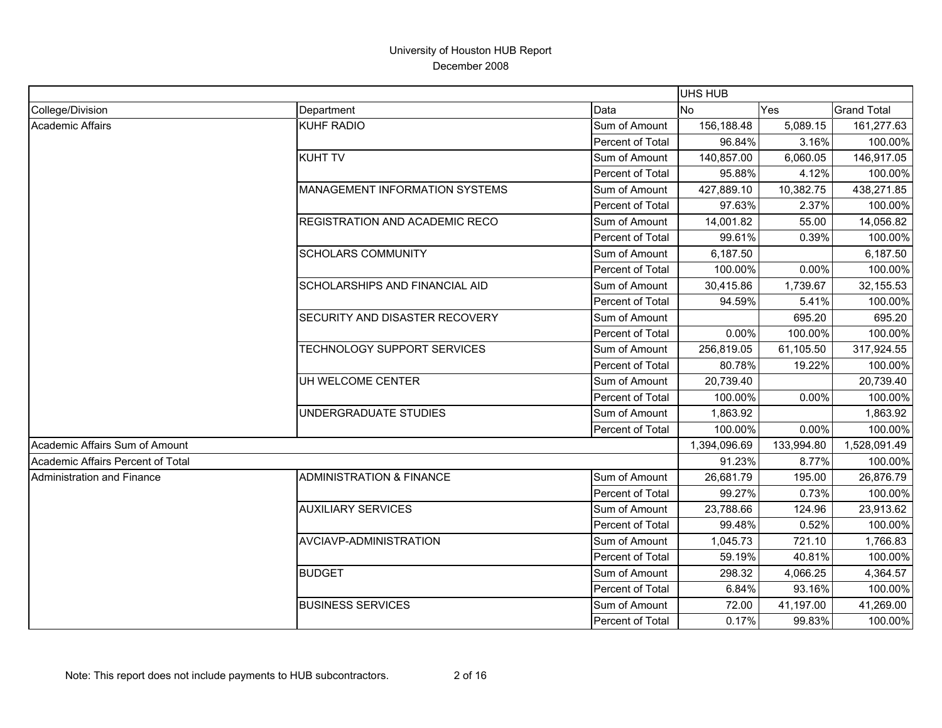|                                   |                                       |                  | <b>UHS HUB</b> |            |                    |
|-----------------------------------|---------------------------------------|------------------|----------------|------------|--------------------|
| College/Division                  | Department                            | Data             | <b>No</b>      | Yes        | <b>Grand Total</b> |
| Academic Affairs                  | <b>KUHF RADIO</b>                     | Sum of Amount    | 156,188.48     | 5,089.15   | 161,277.63         |
|                                   |                                       | Percent of Total | 96.84%         | 3.16%      | 100.00%            |
|                                   | <b>KUHT TV</b>                        | Sum of Amount    | 140,857.00     | 6,060.05   | 146,917.05         |
|                                   |                                       | Percent of Total | 95.88%         | 4.12%      | 100.00%            |
|                                   | <b>MANAGEMENT INFORMATION SYSTEMS</b> | Sum of Amount    | 427,889.10     | 10,382.75  | 438,271.85         |
|                                   |                                       | Percent of Total | 97.63%         | 2.37%      | 100.00%            |
|                                   | REGISTRATION AND ACADEMIC RECO        | Sum of Amount    | 14,001.82      | 55.00      | 14,056.82          |
|                                   |                                       | Percent of Total | 99.61%         | 0.39%      | 100.00%            |
|                                   | <b>SCHOLARS COMMUNITY</b>             | Sum of Amount    | 6,187.50       |            | 6,187.50           |
|                                   |                                       | Percent of Total | 100.00%        | 0.00%      | 100.00%            |
|                                   | <b>SCHOLARSHIPS AND FINANCIAL AID</b> | Sum of Amount    | 30,415.86      | 1,739.67   | 32,155.53          |
|                                   |                                       | Percent of Total | 94.59%         | 5.41%      | 100.00%            |
|                                   | SECURITY AND DISASTER RECOVERY        | Sum of Amount    |                | 695.20     | 695.20             |
|                                   |                                       | Percent of Total | 0.00%          | 100.00%    | 100.00%            |
|                                   | TECHNOLOGY SUPPORT SERVICES           | Sum of Amount    | 256,819.05     | 61,105.50  | 317,924.55         |
|                                   |                                       | Percent of Total | 80.78%         | 19.22%     | 100.00%            |
|                                   | UH WELCOME CENTER                     | Sum of Amount    | 20,739.40      |            | 20,739.40          |
|                                   |                                       | Percent of Total | 100.00%        | 0.00%      | 100.00%            |
|                                   | UNDERGRADUATE STUDIES                 | Sum of Amount    | 1,863.92       |            | 1,863.92           |
|                                   |                                       | Percent of Total | 100.00%        | 0.00%      | 100.00%            |
| Academic Affairs Sum of Amount    |                                       |                  | 1,394,096.69   | 133,994.80 | 1,528,091.49       |
| Academic Affairs Percent of Total |                                       |                  | 91.23%         | 8.77%      | 100.00%            |
| Administration and Finance        | <b>ADMINISTRATION &amp; FINANCE</b>   | Sum of Amount    | 26,681.79      | 195.00     | 26,876.79          |
|                                   |                                       | Percent of Total | 99.27%         | 0.73%      | 100.00%            |
|                                   | <b>AUXILIARY SERVICES</b>             | Sum of Amount    | 23,788.66      | 124.96     | 23,913.62          |
|                                   |                                       | Percent of Total | 99.48%         | 0.52%      | 100.00%            |
|                                   | AVCIAVP-ADMINISTRATION                | Sum of Amount    | 1,045.73       | 721.10     | 1,766.83           |
|                                   |                                       | Percent of Total | 59.19%         | 40.81%     | 100.00%            |
|                                   | <b>BUDGET</b>                         | Sum of Amount    | 298.32         | 4,066.25   | 4,364.57           |
|                                   |                                       | Percent of Total | 6.84%          | 93.16%     | 100.00%            |
|                                   | <b>BUSINESS SERVICES</b>              | Sum of Amount    | 72.00          | 41,197.00  | 41,269.00          |
|                                   |                                       | Percent of Total | 0.17%          | 99.83%     | 100.00%            |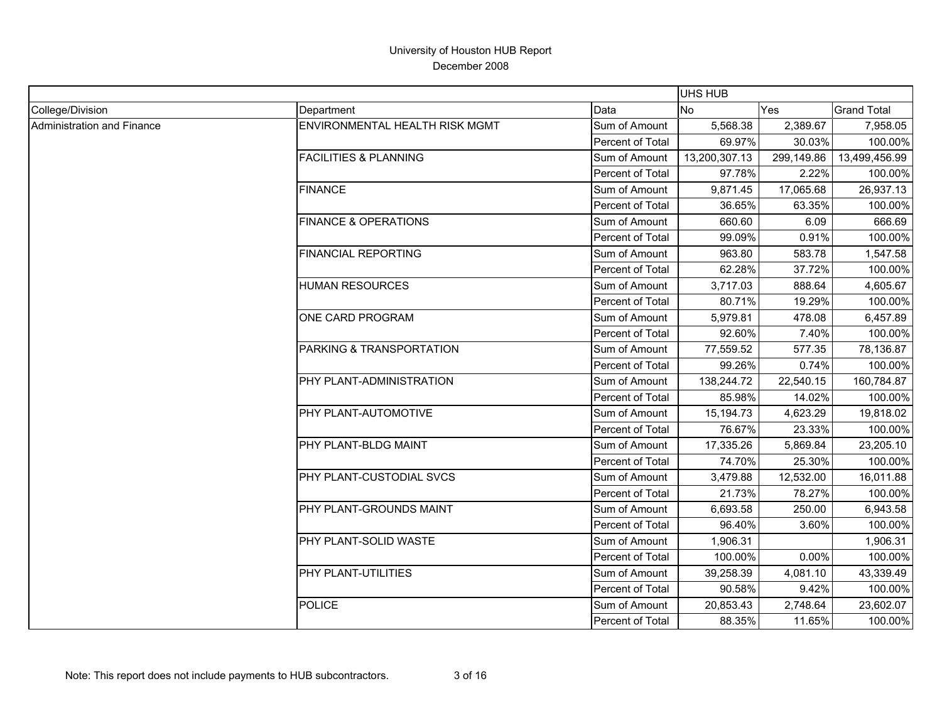|                                   |                                       |                  | <b>UHS HUB</b> |            |                    |
|-----------------------------------|---------------------------------------|------------------|----------------|------------|--------------------|
| College/Division                  | Department                            | Data             | <b>No</b>      | Yes        | <b>Grand Total</b> |
| <b>Administration and Finance</b> | <b>ENVIRONMENTAL HEALTH RISK MGMT</b> | Sum of Amount    | 5,568.38       | 2,389.67   | 7,958.05           |
|                                   |                                       | Percent of Total | 69.97%         | 30.03%     | 100.00%            |
|                                   | <b>FACILITIES &amp; PLANNING</b>      | Sum of Amount    | 13,200,307.13  | 299,149.86 | 13,499,456.99      |
|                                   |                                       | Percent of Total | 97.78%         | 2.22%      | 100.00%            |
|                                   | <b>FINANCE</b>                        | Sum of Amount    | 9,871.45       | 17,065.68  | 26,937.13          |
|                                   |                                       | Percent of Total | 36.65%         | 63.35%     | 100.00%            |
|                                   | <b>FINANCE &amp; OPERATIONS</b>       | Sum of Amount    | 660.60         | 6.09       | 666.69             |
|                                   |                                       | Percent of Total | 99.09%         | 0.91%      | 100.00%            |
|                                   | <b>FINANCIAL REPORTING</b>            | Sum of Amount    | 963.80         | 583.78     | 1,547.58           |
|                                   |                                       | Percent of Total | 62.28%         | 37.72%     | 100.00%            |
|                                   | <b>HUMAN RESOURCES</b>                | Sum of Amount    | 3,717.03       | 888.64     | 4,605.67           |
|                                   |                                       | Percent of Total | 80.71%         | 19.29%     | 100.00%            |
|                                   | ONE CARD PROGRAM                      | Sum of Amount    | 5,979.81       | 478.08     | 6,457.89           |
|                                   |                                       | Percent of Total | 92.60%         | 7.40%      | 100.00%            |
|                                   | PARKING & TRANSPORTATION              | Sum of Amount    | 77,559.52      | 577.35     | 78,136.87          |
|                                   |                                       | Percent of Total | 99.26%         | 0.74%      | 100.00%            |
|                                   | PHY PLANT-ADMINISTRATION              | Sum of Amount    | 138,244.72     | 22,540.15  | 160,784.87         |
|                                   |                                       | Percent of Total | 85.98%         | 14.02%     | 100.00%            |
|                                   | PHY PLANT-AUTOMOTIVE                  | Sum of Amount    | 15,194.73      | 4,623.29   | 19,818.02          |
|                                   |                                       | Percent of Total | 76.67%         | 23.33%     | 100.00%            |
|                                   | PHY PLANT-BLDG MAINT                  | Sum of Amount    | 17,335.26      | 5,869.84   | 23,205.10          |
|                                   |                                       | Percent of Total | 74.70%         | 25.30%     | 100.00%            |
|                                   | PHY PLANT-CUSTODIAL SVCS              | Sum of Amount    | 3,479.88       | 12,532.00  | 16,011.88          |
|                                   |                                       | Percent of Total | 21.73%         | 78.27%     | 100.00%            |
|                                   | PHY PLANT-GROUNDS MAINT               | Sum of Amount    | 6,693.58       | 250.00     | 6,943.58           |
|                                   |                                       | Percent of Total | 96.40%         | 3.60%      | 100.00%            |
|                                   | PHY PLANT-SOLID WASTE                 | Sum of Amount    | 1,906.31       |            | 1,906.31           |
|                                   |                                       | Percent of Total | 100.00%        | 0.00%      | 100.00%            |
|                                   | PHY PLANT-UTILITIES                   | Sum of Amount    | 39,258.39      | 4,081.10   | 43,339.49          |
|                                   |                                       | Percent of Total | 90.58%         | 9.42%      | 100.00%            |
|                                   | <b>POLICE</b>                         | Sum of Amount    | 20,853.43      | 2,748.64   | 23,602.07          |
|                                   |                                       | Percent of Total | 88.35%         | 11.65%     | 100.00%            |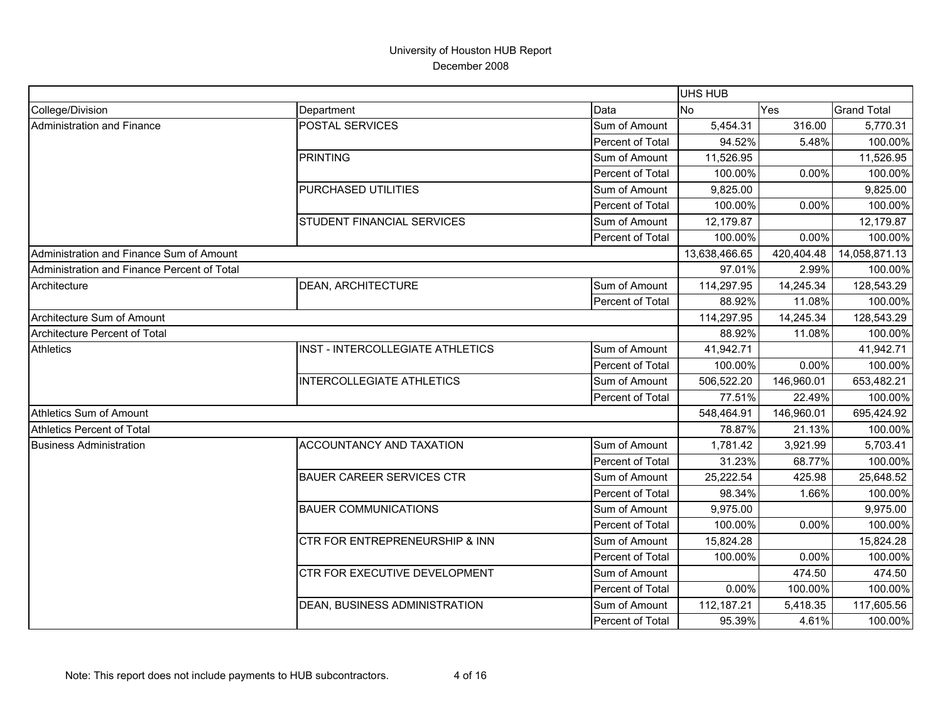|                                             |                                  |                  | <b>UHS HUB</b> |            |                    |
|---------------------------------------------|----------------------------------|------------------|----------------|------------|--------------------|
| College/Division                            | Department                       | Data             | No             | Yes        | <b>Grand Total</b> |
| <b>Administration and Finance</b>           | POSTAL SERVICES                  | Sum of Amount    | 5,454.31       | 316.00     | 5,770.31           |
|                                             |                                  | Percent of Total | 94.52%         | 5.48%      | 100.00%            |
|                                             | <b>PRINTING</b>                  | Sum of Amount    | 11,526.95      |            | 11,526.95          |
|                                             |                                  | Percent of Total | 100.00%        | 0.00%      | 100.00%            |
|                                             | PURCHASED UTILITIES              | Sum of Amount    | 9,825.00       |            | 9,825.00           |
|                                             |                                  | Percent of Total | 100.00%        | 0.00%      | 100.00%            |
|                                             | STUDENT FINANCIAL SERVICES       | Sum of Amount    | 12,179.87      |            | 12,179.87          |
|                                             |                                  | Percent of Total | 100.00%        | 0.00%      | 100.00%            |
| Administration and Finance Sum of Amount    |                                  |                  | 13,638,466.65  | 420,404.48 | 14,058,871.13      |
| Administration and Finance Percent of Total |                                  |                  | 97.01%         | 2.99%      | 100.00%            |
| Architecture                                | DEAN, ARCHITECTURE               | Sum of Amount    | 114,297.95     | 14,245.34  | 128,543.29         |
|                                             |                                  | Percent of Total | 88.92%         | 11.08%     | 100.00%            |
| Architecture Sum of Amount                  |                                  |                  | 114,297.95     | 14,245.34  | 128,543.29         |
| <b>Architecture Percent of Total</b>        |                                  |                  | 88.92%         | 11.08%     | 100.00%            |
| <b>Athletics</b>                            | INST - INTERCOLLEGIATE ATHLETICS | Sum of Amount    | 41,942.71      |            | 41,942.71          |
|                                             |                                  | Percent of Total | 100.00%        | $0.00\%$   | 100.00%            |
|                                             | <b>INTERCOLLEGIATE ATHLETICS</b> | Sum of Amount    | 506,522.20     | 146,960.01 | 653,482.21         |
|                                             |                                  | Percent of Total | 77.51%         | 22.49%     | 100.00%            |
| <b>Athletics Sum of Amount</b>              |                                  |                  | 548,464.91     | 146,960.01 | 695,424.92         |
| <b>Athletics Percent of Total</b>           |                                  |                  | 78.87%         | 21.13%     | 100.00%            |
| <b>Business Administration</b>              | <b>ACCOUNTANCY AND TAXATION</b>  | Sum of Amount    | 1.781.42       | 3,921.99   | 5,703.41           |
|                                             |                                  | Percent of Total | 31.23%         | 68.77%     | 100.00%            |
|                                             | <b>BAUER CAREER SERVICES CTR</b> | Sum of Amount    | 25,222.54      | 425.98     | 25,648.52          |
|                                             |                                  | Percent of Total | 98.34%         | 1.66%      | 100.00%            |
|                                             | <b>BAUER COMMUNICATIONS</b>      | Sum of Amount    | 9,975.00       |            | 9,975.00           |
|                                             |                                  | Percent of Total | 100.00%        | 0.00%      | 100.00%            |
|                                             | CTR FOR ENTREPRENEURSHIP & INN   | Sum of Amount    | 15,824.28      |            | 15,824.28          |
|                                             |                                  | Percent of Total | 100.00%        | 0.00%      | 100.00%            |
|                                             | CTR FOR EXECUTIVE DEVELOPMENT    | Sum of Amount    |                | 474.50     | 474.50             |
|                                             |                                  | Percent of Total | 0.00%          | 100.00%    | 100.00%            |
|                                             | DEAN, BUSINESS ADMINISTRATION    | Sum of Amount    | 112,187.21     | 5,418.35   | 117,605.56         |
|                                             |                                  | Percent of Total | 95.39%         | 4.61%      | 100.00%            |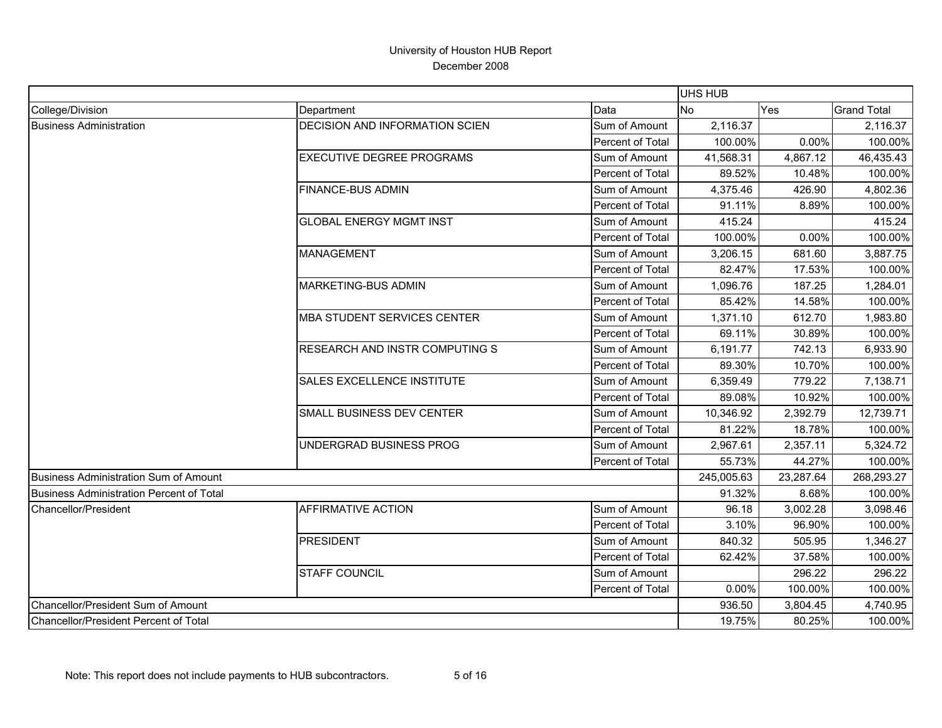|                                          |                                       |                  | <b>UHS HUB</b> |           |                    |
|------------------------------------------|---------------------------------------|------------------|----------------|-----------|--------------------|
| College/Division                         | Department                            | Data             | <b>No</b>      | Yes       | <b>Grand Total</b> |
| <b>Business Administration</b>           | <b>DECISION AND INFORMATION SCIEN</b> | Sum of Amount    | 2,116.37       |           | 2,116.37           |
|                                          |                                       | Percent of Total | 100.00%        | 0.00%     | 100.00%            |
|                                          | <b>EXECUTIVE DEGREE PROGRAMS</b>      | Sum of Amount    | 41,568.31      | 4,867.12  | 46,435.43          |
|                                          |                                       | Percent of Total | 89.52%         | 10.48%    | 100.00%            |
|                                          | <b>FINANCE-BUS ADMIN</b>              | Sum of Amount    | 4,375.46       | 426.90    | 4,802.36           |
|                                          |                                       | Percent of Total | 91.11%         | 8.89%     | 100.00%            |
|                                          | <b>GLOBAL ENERGY MGMT INST</b>        | Sum of Amount    | 415.24         |           | 415.24             |
|                                          |                                       | Percent of Total | 100.00%        | 0.00%     | 100.00%            |
|                                          | <b>MANAGEMENT</b>                     | Sum of Amount    | 3,206.15       | 681.60    | 3,887.75           |
|                                          |                                       | Percent of Total | 82.47%         | 17.53%    | 100.00%            |
|                                          | <b>MARKETING-BUS ADMIN</b>            | Sum of Amount    | 1,096.76       | 187.25    | 1,284.01           |
|                                          |                                       | Percent of Total | 85.42%         | 14.58%    | 100.00%            |
|                                          | <b>MBA STUDENT SERVICES CENTER</b>    | Sum of Amount    | 1,371.10       | 612.70    | 1,983.80           |
|                                          |                                       | Percent of Total | 69.11%         | 30.89%    | 100.00%            |
|                                          | RESEARCH AND INSTR COMPUTING S        | Sum of Amount    | 6,191.77       | 742.13    | 6,933.90           |
|                                          |                                       | Percent of Total | 89.30%         | 10.70%    | 100.00%            |
|                                          | <b>SALES EXCELLENCE INSTITUTE</b>     | Sum of Amount    | 6,359.49       | 779.22    | 7,138.71           |
|                                          |                                       | Percent of Total | 89.08%         | 10.92%    | 100.00%            |
|                                          | SMALL BUSINESS DEV CENTER             | Sum of Amount    | 10,346.92      | 2,392.79  | 12,739.71          |
|                                          |                                       | Percent of Total | 81.22%         | 18.78%    | 100.00%            |
|                                          | UNDERGRAD BUSINESS PROG               | Sum of Amount    | 2,967.61       | 2,357.11  | 5,324.72           |
|                                          |                                       | Percent of Total | 55.73%         | 44.27%    | 100.00%            |
| Business Administration Sum of Amount    |                                       |                  | 245,005.63     | 23,287.64 | 268,293.27         |
| Business Administration Percent of Total |                                       |                  | 91.32%         | 8.68%     | 100.00%            |
| Chancellor/President                     | <b>AFFIRMATIVE ACTION</b>             | Sum of Amount    | 96.18          | 3,002.28  | 3,098.46           |
|                                          |                                       | Percent of Total | 3.10%          | 96.90%    | 100.00%            |
|                                          | <b>PRESIDENT</b>                      | Sum of Amount    | 840.32         | 505.95    | 1,346.27           |
|                                          |                                       | Percent of Total | 62.42%         | 37.58%    | 100.00%            |
|                                          | <b>STAFF COUNCIL</b>                  | Sum of Amount    |                | 296.22    | 296.22             |
|                                          |                                       | Percent of Total | 0.00%          | 100.00%   | 100.00%            |
| Chancellor/President Sum of Amount       |                                       |                  | 936.50         | 3,804.45  | 4,740.95           |
| Chancellor/President Percent of Total    |                                       |                  | 19.75%         | 80.25%    | 100.00%            |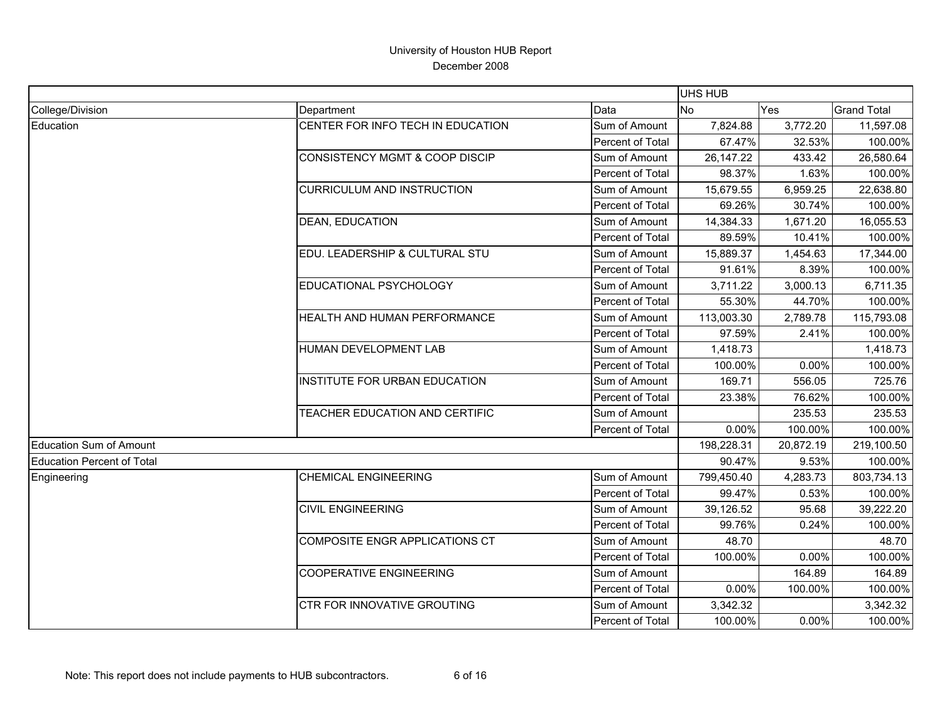|                            |                                           |                  | <b>UHS HUB</b> |           |                    |
|----------------------------|-------------------------------------------|------------------|----------------|-----------|--------------------|
| College/Division           | Department                                | Data             | No             | Yes       | <b>Grand Total</b> |
| Education                  | CENTER FOR INFO TECH IN EDUCATION         | Sum of Amount    | 7,824.88       | 3,772.20  | 11,597.08          |
|                            |                                           | Percent of Total | 67.47%         | 32.53%    | 100.00%            |
|                            | <b>CONSISTENCY MGMT &amp; COOP DISCIP</b> | Sum of Amount    | 26, 147. 22    | 433.42    | 26,580.64          |
|                            |                                           | Percent of Total | 98.37%         | 1.63%     | 100.00%            |
|                            | <b>CURRICULUM AND INSTRUCTION</b>         | Sum of Amount    | 15,679.55      | 6,959.25  | 22,638.80          |
|                            |                                           | Percent of Total | 69.26%         | 30.74%    | 100.00%            |
|                            | <b>DEAN, EDUCATION</b>                    | Sum of Amount    | 14,384.33      | 1,671.20  | 16,055.53          |
|                            |                                           | Percent of Total | 89.59%         | 10.41%    | 100.00%            |
|                            | EDU. LEADERSHIP & CULTURAL STU            | Sum of Amount    | 15,889.37      | 1,454.63  | 17,344.00          |
|                            |                                           | Percent of Total | 91.61%         | 8.39%     | 100.00%            |
|                            | EDUCATIONAL PSYCHOLOGY                    | Sum of Amount    | 3,711.22       | 3,000.13  | 6,711.35           |
|                            |                                           | Percent of Total | 55.30%         | 44.70%    | 100.00%            |
|                            | HEALTH AND HUMAN PERFORMANCE              | Sum of Amount    | 113,003.30     | 2,789.78  | 115,793.08         |
|                            |                                           | Percent of Total | 97.59%         | 2.41%     | 100.00%            |
|                            | HUMAN DEVELOPMENT LAB                     | Sum of Amount    | 1,418.73       |           | 1,418.73           |
|                            |                                           | Percent of Total | 100.00%        | 0.00%     | 100.00%            |
|                            | INSTITUTE FOR URBAN EDUCATION             | Sum of Amount    | 169.71         | 556.05    | 725.76             |
|                            |                                           | Percent of Total | 23.38%         | 76.62%    | 100.00%            |
|                            | TEACHER EDUCATION AND CERTIFIC            | Sum of Amount    |                | 235.53    | 235.53             |
|                            |                                           | Percent of Total | 0.00%          | 100.00%   | 100.00%            |
| Education Sum of Amount    |                                           |                  | 198,228.31     | 20,872.19 | 219,100.50         |
| Education Percent of Total |                                           |                  | 90.47%         | 9.53%     | 100.00%            |
| Engineering                | <b>CHEMICAL ENGINEERING</b>               | Sum of Amount    | 799,450.40     | 4,283.73  | 803,734.13         |
|                            |                                           | Percent of Total | 99.47%         | 0.53%     | 100.00%            |
|                            | <b>CIVIL ENGINEERING</b>                  | Sum of Amount    | 39,126.52      | 95.68     | 39,222.20          |
|                            |                                           | Percent of Total | 99.76%         | 0.24%     | 100.00%            |
|                            | <b>COMPOSITE ENGR APPLICATIONS CT</b>     | Sum of Amount    | 48.70          |           | 48.70              |
|                            |                                           | Percent of Total | 100.00%        | 0.00%     | 100.00%            |
|                            | <b>COOPERATIVE ENGINEERING</b>            | Sum of Amount    |                | 164.89    | 164.89             |
|                            |                                           | Percent of Total | 0.00%          | 100.00%   | 100.00%            |
|                            | <b>CTR FOR INNOVATIVE GROUTING</b>        | Sum of Amount    | 3,342.32       |           | 3,342.32           |
|                            |                                           | Percent of Total | 100.00%        | $0.00\%$  | 100.00%            |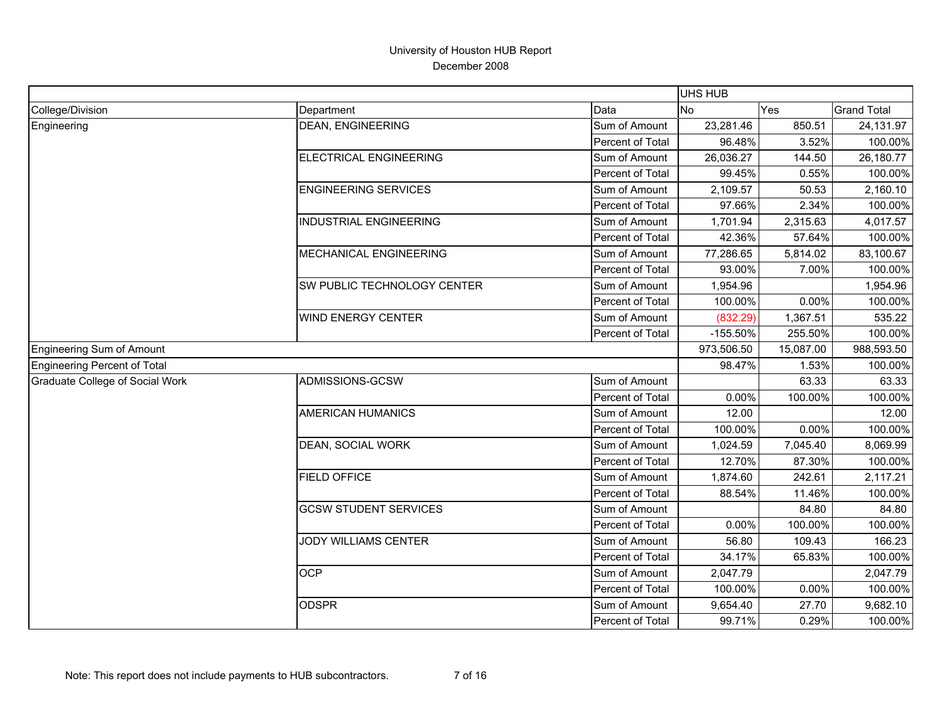|                                 |                               |                  | UHS HUB    |           |                    |
|---------------------------------|-------------------------------|------------------|------------|-----------|--------------------|
| College/Division                | Department                    | Data             | <b>No</b>  | Yes       | <b>Grand Total</b> |
| Engineering                     | <b>DEAN, ENGINEERING</b>      | Sum of Amount    | 23,281.46  | 850.51    | 24,131.97          |
|                                 |                               | Percent of Total | 96.48%     | 3.52%     | 100.00%            |
|                                 | <b>ELECTRICAL ENGINEERING</b> | Sum of Amount    | 26,036.27  | 144.50    | 26,180.77          |
|                                 |                               | Percent of Total | 99.45%     | 0.55%     | 100.00%            |
|                                 | <b>ENGINEERING SERVICES</b>   | Sum of Amount    | 2,109.57   | 50.53     | 2,160.10           |
|                                 |                               | Percent of Total | 97.66%     | 2.34%     | 100.00%            |
|                                 | <b>INDUSTRIAL ENGINEERING</b> | Sum of Amount    | 1,701.94   | 2,315.63  | 4,017.57           |
|                                 |                               | Percent of Total | 42.36%     | 57.64%    | 100.00%            |
|                                 | MECHANICAL ENGINEERING        | Sum of Amount    | 77,286.65  | 5,814.02  | 83,100.67          |
|                                 |                               | Percent of Total | 93.00%     | 7.00%     | 100.00%            |
|                                 | SW PUBLIC TECHNOLOGY CENTER   | Sum of Amount    | 1,954.96   |           | 1,954.96           |
|                                 |                               | Percent of Total | 100.00%    | 0.00%     | 100.00%            |
|                                 | <b>WIND ENERGY CENTER</b>     | Sum of Amount    | (832.29)   | 1,367.51  | 535.22             |
|                                 |                               | Percent of Total | $-155.50%$ | 255.50%   | 100.00%            |
| Engineering Sum of Amount       |                               |                  | 973,506.50 | 15,087.00 | 988,593.50         |
| Engineering Percent of Total    |                               |                  | 98.47%     | 1.53%     | 100.00%            |
| Graduate College of Social Work | ADMISSIONS-GCSW               | Sum of Amount    |            | 63.33     | 63.33              |
|                                 |                               | Percent of Total | 0.00%      | 100.00%   | 100.00%            |
|                                 | <b>AMERICAN HUMANICS</b>      | Sum of Amount    | 12.00      |           | 12.00              |
|                                 |                               | Percent of Total | 100.00%    | 0.00%     | 100.00%            |
|                                 | DEAN, SOCIAL WORK             | Sum of Amount    | 1,024.59   | 7,045.40  | 8,069.99           |
|                                 |                               | Percent of Total | 12.70%     | 87.30%    | 100.00%            |
|                                 | <b>FIELD OFFICE</b>           | Sum of Amount    | 1,874.60   | 242.61    | 2,117.21           |
|                                 |                               | Percent of Total | 88.54%     | 11.46%    | 100.00%            |
|                                 | <b>GCSW STUDENT SERVICES</b>  | Sum of Amount    |            | 84.80     | 84.80              |
|                                 |                               | Percent of Total | $0.00\%$   | 100.00%   | 100.00%            |
|                                 | <b>JODY WILLIAMS CENTER</b>   | Sum of Amount    | 56.80      | 109.43    | 166.23             |
|                                 |                               | Percent of Total | 34.17%     | 65.83%    | 100.00%            |
|                                 | <b>OCP</b>                    | Sum of Amount    | 2,047.79   |           | 2,047.79           |
|                                 |                               | Percent of Total | 100.00%    | 0.00%     | 100.00%            |
|                                 | <b>ODSPR</b>                  | Sum of Amount    | 9,654.40   | 27.70     | 9,682.10           |
|                                 |                               | Percent of Total | 99.71%     | 0.29%     | 100.00%            |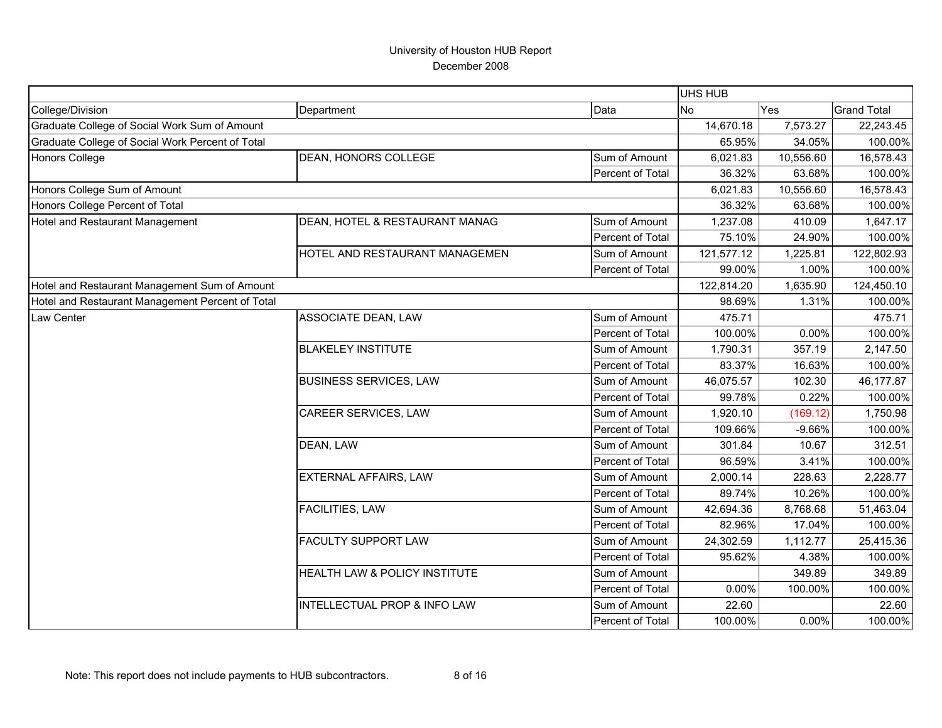|                                                  |                                |                  | <b>UHS HUB</b> |           |                    |
|--------------------------------------------------|--------------------------------|------------------|----------------|-----------|--------------------|
| College/Division                                 | Department                     | Data             | <b>No</b>      | Yes       | <b>Grand Total</b> |
| Graduate College of Social Work Sum of Amount    |                                |                  | 14,670.18      | 7,573.27  | 22,243.45          |
| Graduate College of Social Work Percent of Total |                                |                  | 65.95%         | 34.05%    | 100.00%            |
| Honors College                                   | DEAN, HONORS COLLEGE           | Sum of Amount    | 6,021.83       | 10,556.60 | 16,578.43          |
|                                                  |                                | Percent of Total | 36.32%         | 63.68%    | 100.00%            |
| Honors College Sum of Amount                     |                                |                  | 6,021.83       | 10,556.60 | 16,578.43          |
| Honors College Percent of Total                  |                                |                  | 36.32%         | 63.68%    | 100.00%            |
| Hotel and Restaurant Management                  | DEAN, HOTEL & RESTAURANT MANAG | Sum of Amount    | 1,237.08       | 410.09    | 1,647.17           |
|                                                  |                                | Percent of Total | 75.10%         | 24.90%    | 100.00%            |
|                                                  | HOTEL AND RESTAURANT MANAGEMEN | Sum of Amount    | 121,577.12     | 1,225.81  | 122,802.93         |
|                                                  |                                | Percent of Total | 99.00%         | 1.00%     | 100.00%            |
| Hotel and Restaurant Management Sum of Amount    |                                |                  | 122,814.20     | 1,635.90  | 124,450.10         |
| Hotel and Restaurant Management Percent of Total |                                |                  | 98.69%         | 1.31%     | 100.00%            |
| Law Center                                       | ASSOCIATE DEAN, LAW            | Sum of Amount    | 475.71         |           | 475.71             |
|                                                  |                                | Percent of Total | 100.00%        | 0.00%     | 100.00%            |
|                                                  | <b>BLAKELEY INSTITUTE</b>      | Sum of Amount    | 1,790.31       | 357.19    | 2,147.50           |
|                                                  |                                | Percent of Total | 83.37%         | 16.63%    | 100.00%            |
|                                                  | <b>BUSINESS SERVICES, LAW</b>  | Sum of Amount    | 46,075.57      | 102.30    | 46,177.87          |
|                                                  |                                | Percent of Total | 99.78%         | 0.22%     | 100.00%            |
|                                                  | CAREER SERVICES, LAW           | Sum of Amount    | 1,920.10       | (169.12)  | 1,750.98           |
|                                                  |                                | Percent of Total | 109.66%        | $-9.66%$  | 100.00%            |
|                                                  | DEAN, LAW                      | Sum of Amount    | 301.84         | 10.67     | 312.51             |
|                                                  |                                | Percent of Total | 96.59%         | 3.41%     | 100.00%            |
|                                                  | <b>EXTERNAL AFFAIRS, LAW</b>   | Sum of Amount    | 2,000.14       | 228.63    | 2,228.77           |
|                                                  |                                | Percent of Total | 89.74%         | 10.26%    | 100.00%            |
|                                                  | <b>FACILITIES, LAW</b>         | Sum of Amount    | 42,694.36      | 8,768.68  | 51,463.04          |
|                                                  |                                | Percent of Total | 82.96%         | 17.04%    | 100.00%            |
|                                                  | <b>FACULTY SUPPORT LAW</b>     | Sum of Amount    | 24,302.59      | 1,112.77  | 25,415.36          |
|                                                  |                                | Percent of Total | 95.62%         | 4.38%     | 100.00%            |
|                                                  | HEALTH LAW & POLICY INSTITUTE  | Sum of Amount    |                | 349.89    | 349.89             |
|                                                  |                                | Percent of Total | 0.00%          | 100.00%   | 100.00%            |
|                                                  | INTELLECTUAL PROP & INFO LAW   | Sum of Amount    | 22.60          |           | 22.60              |
|                                                  |                                | Percent of Total | 100.00%        | 0.00%     | 100.00%            |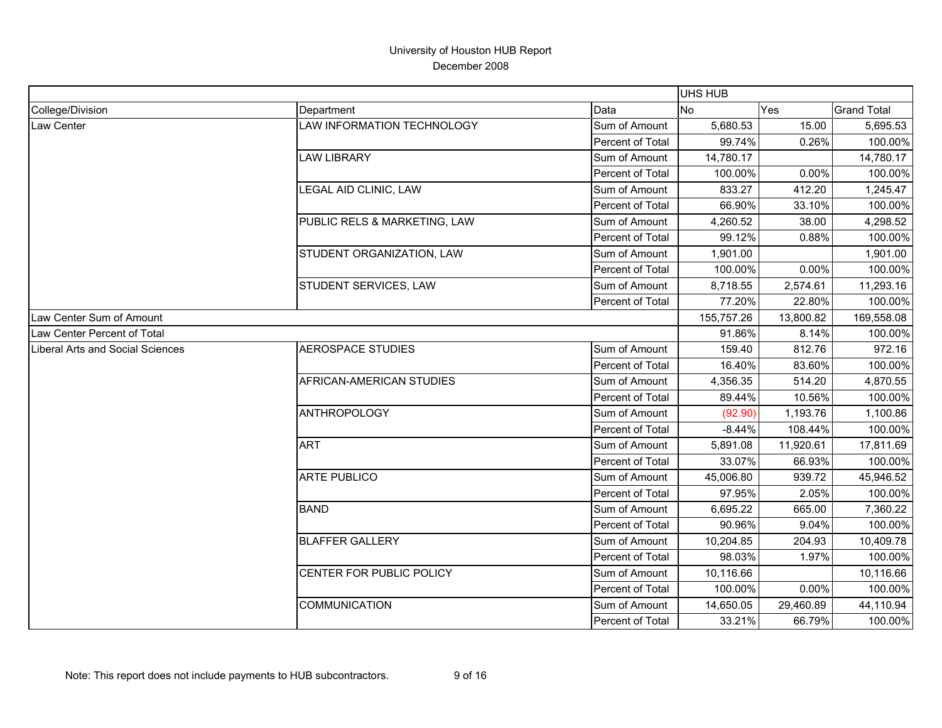|                                         |                              |                  | <b>UHS HUB</b> |           |                    |
|-----------------------------------------|------------------------------|------------------|----------------|-----------|--------------------|
| College/Division                        | Department                   | Data             | <b>No</b>      | Yes       | <b>Grand Total</b> |
| Law Center                              | LAW INFORMATION TECHNOLOGY   | Sum of Amount    | 5,680.53       | 15.00     | 5,695.53           |
|                                         |                              | Percent of Total | 99.74%         | 0.26%     | 100.00%            |
|                                         | <b>LAW LIBRARY</b>           | Sum of Amount    | 14,780.17      |           | 14,780.17          |
|                                         |                              | Percent of Total | 100.00%        | 0.00%     | 100.00%            |
|                                         | LEGAL AID CLINIC, LAW        | Sum of Amount    | 833.27         | 412.20    | 1,245.47           |
|                                         |                              | Percent of Total | 66.90%         | 33.10%    | 100.00%            |
|                                         | PUBLIC RELS & MARKETING, LAW | Sum of Amount    | 4,260.52       | 38.00     | 4,298.52           |
|                                         |                              | Percent of Total | 99.12%         | 0.88%     | 100.00%            |
|                                         | STUDENT ORGANIZATION, LAW    | Sum of Amount    | 1,901.00       |           | 1,901.00           |
|                                         |                              | Percent of Total | 100.00%        | 0.00%     | 100.00%            |
|                                         | STUDENT SERVICES, LAW        | Sum of Amount    | 8,718.55       | 2,574.61  | 11,293.16          |
|                                         |                              | Percent of Total | 77.20%         | 22.80%    | 100.00%            |
| Law Center Sum of Amount                |                              |                  | 155,757.26     | 13,800.82 | 169,558.08         |
| Law Center Percent of Total             |                              |                  | 91.86%         | 8.14%     | 100.00%            |
| <b>Liberal Arts and Social Sciences</b> | <b>AEROSPACE STUDIES</b>     | Sum of Amount    | 159.40         | 812.76    | 972.16             |
|                                         |                              | Percent of Total | 16.40%         | 83.60%    | 100.00%            |
|                                         | AFRICAN-AMERICAN STUDIES     | Sum of Amount    | 4,356.35       | 514.20    | 4,870.55           |
|                                         |                              | Percent of Total | 89.44%         | 10.56%    | 100.00%            |
|                                         | <b>ANTHROPOLOGY</b>          | Sum of Amount    | (92.90)        | 1,193.76  | 1,100.86           |
|                                         |                              | Percent of Total | $-8.44%$       | 108.44%   | 100.00%            |
|                                         | <b>ART</b>                   | Sum of Amount    | 5,891.08       | 11,920.61 | 17,811.69          |
|                                         |                              | Percent of Total | 33.07%         | 66.93%    | 100.00%            |
|                                         | <b>ARTE PUBLICO</b>          | Sum of Amount    | 45,006.80      | 939.72    | 45,946.52          |
|                                         |                              | Percent of Total | 97.95%         | 2.05%     | 100.00%            |
|                                         | <b>BAND</b>                  | Sum of Amount    | 6,695.22       | 665.00    | 7,360.22           |
|                                         |                              | Percent of Total | 90.96%         | 9.04%     | 100.00%            |
|                                         | <b>BLAFFER GALLERY</b>       | Sum of Amount    | 10,204.85      | 204.93    | 10,409.78          |
|                                         |                              | Percent of Total | 98.03%         | 1.97%     | 100.00%            |
|                                         | CENTER FOR PUBLIC POLICY     | Sum of Amount    | 10,116.66      |           | 10,116.66          |
|                                         |                              | Percent of Total | 100.00%        | 0.00%     | 100.00%            |
|                                         | COMMUNICATION                | Sum of Amount    | 14,650.05      | 29,460.89 | 44,110.94          |
|                                         |                              | Percent of Total | 33.21%         | 66.79%    | 100.00%            |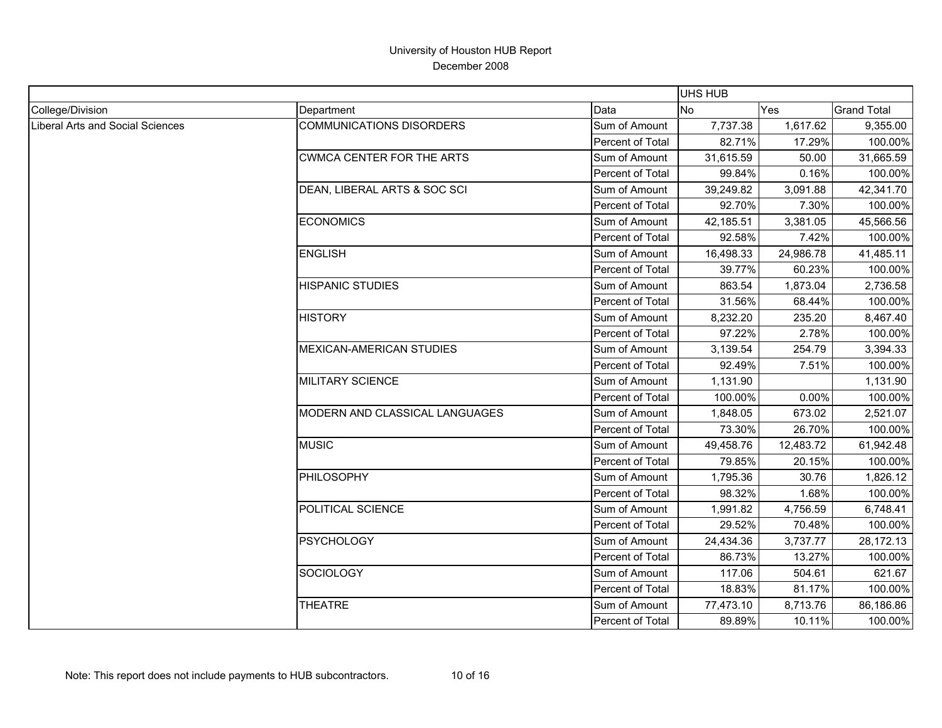|                                  |                                 |                  | UHS HUB   |           |                    |
|----------------------------------|---------------------------------|------------------|-----------|-----------|--------------------|
| College/Division                 | Department                      | Data             | <b>No</b> | Yes       | <b>Grand Total</b> |
| Liberal Arts and Social Sciences | <b>COMMUNICATIONS DISORDERS</b> | Sum of Amount    | 7,737.38  | 1,617.62  | 9,355.00           |
|                                  |                                 | Percent of Total | 82.71%    | 17.29%    | 100.00%            |
|                                  | CWMCA CENTER FOR THE ARTS       | Sum of Amount    | 31,615.59 | 50.00     | 31,665.59          |
|                                  |                                 | Percent of Total | 99.84%    | 0.16%     | 100.00%            |
|                                  | DEAN, LIBERAL ARTS & SOC SCI    | Sum of Amount    | 39,249.82 | 3,091.88  | 42,341.70          |
|                                  |                                 | Percent of Total | 92.70%    | 7.30%     | 100.00%            |
|                                  | <b>ECONOMICS</b>                | Sum of Amount    | 42,185.51 | 3,381.05  | 45,566.56          |
|                                  |                                 | Percent of Total | 92.58%    | 7.42%     | 100.00%            |
|                                  | <b>ENGLISH</b>                  | Sum of Amount    | 16,498.33 | 24,986.78 | 41,485.11          |
|                                  |                                 | Percent of Total | 39.77%    | 60.23%    | 100.00%            |
|                                  | <b>HISPANIC STUDIES</b>         | Sum of Amount    | 863.54    | 1,873.04  | 2,736.58           |
|                                  |                                 | Percent of Total | 31.56%    | 68.44%    | 100.00%            |
|                                  | <b>HISTORY</b>                  | Sum of Amount    | 8,232.20  | 235.20    | 8,467.40           |
|                                  |                                 | Percent of Total | 97.22%    | 2.78%     | 100.00%            |
|                                  | <b>MEXICAN-AMERICAN STUDIES</b> | Sum of Amount    | 3,139.54  | 254.79    | 3,394.33           |
|                                  |                                 | Percent of Total | 92.49%    | 7.51%     | 100.00%            |
|                                  | MILITARY SCIENCE                | Sum of Amount    | 1,131.90  |           | 1,131.90           |
|                                  |                                 | Percent of Total | 100.00%   | 0.00%     | 100.00%            |
|                                  | MODERN AND CLASSICAL LANGUAGES  | Sum of Amount    | 1,848.05  | 673.02    | 2,521.07           |
|                                  |                                 | Percent of Total | 73.30%    | 26.70%    | 100.00%            |
|                                  | <b>MUSIC</b>                    | Sum of Amount    | 49,458.76 | 12,483.72 | 61,942.48          |
|                                  |                                 | Percent of Total | 79.85%    | 20.15%    | 100.00%            |
|                                  | <b>PHILOSOPHY</b>               | Sum of Amount    | 1,795.36  | 30.76     | 1,826.12           |
|                                  |                                 | Percent of Total | 98.32%    | 1.68%     | 100.00%            |
|                                  | POLITICAL SCIENCE               | Sum of Amount    | 1,991.82  | 4,756.59  | 6,748.41           |
|                                  |                                 | Percent of Total | 29.52%    | 70.48%    | 100.00%            |
|                                  | <b>PSYCHOLOGY</b>               | Sum of Amount    | 24,434.36 | 3,737.77  | 28,172.13          |
|                                  |                                 | Percent of Total | 86.73%    | 13.27%    | 100.00%            |
|                                  | <b>SOCIOLOGY</b>                | Sum of Amount    | 117.06    | 504.61    | 621.67             |
|                                  |                                 | Percent of Total | 18.83%    | 81.17%    | 100.00%            |
|                                  | <b>THEATRE</b>                  | Sum of Amount    | 77,473.10 | 8,713.76  | 86,186.86          |
|                                  |                                 | Percent of Total | 89.89%    | 10.11%    | 100.00%            |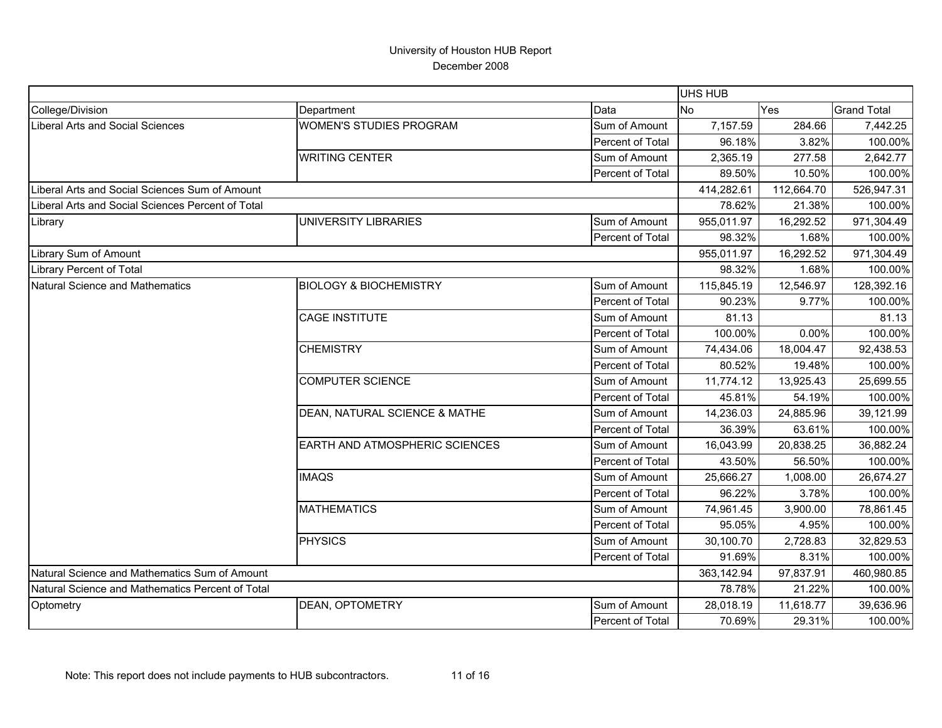|                                                   |                                   |                  | <b>UHS HUB</b> |            |                    |
|---------------------------------------------------|-----------------------------------|------------------|----------------|------------|--------------------|
| College/Division                                  | Department                        | Data             | <b>No</b>      | Yes        | <b>Grand Total</b> |
| Liberal Arts and Social Sciences                  | <b>WOMEN'S STUDIES PROGRAM</b>    | Sum of Amount    | 7,157.59       | 284.66     | 7,442.25           |
|                                                   |                                   | Percent of Total | 96.18%         | 3.82%      | 100.00%            |
|                                                   | <b>WRITING CENTER</b>             | Sum of Amount    | 2,365.19       | 277.58     | 2,642.77           |
|                                                   |                                   | Percent of Total | 89.50%         | 10.50%     | 100.00%            |
| Liberal Arts and Social Sciences Sum of Amount    |                                   |                  | 414,282.61     | 112,664.70 | 526,947.31         |
| Liberal Arts and Social Sciences Percent of Total |                                   |                  | 78.62%         | 21.38%     | 100.00%            |
| Library                                           | UNIVERSITY LIBRARIES              | Sum of Amount    | 955,011.97     | 16,292.52  | 971,304.49         |
|                                                   |                                   | Percent of Total | 98.32%         | 1.68%      | 100.00%            |
| Library Sum of Amount                             |                                   |                  | 955,011.97     | 16,292.52  | 971,304.49         |
| Library Percent of Total                          |                                   |                  | 98.32%         | 1.68%      | 100.00%            |
| Natural Science and Mathematics                   | <b>BIOLOGY &amp; BIOCHEMISTRY</b> | Sum of Amount    | 115,845.19     | 12,546.97  | 128,392.16         |
|                                                   |                                   | Percent of Total | 90.23%         | 9.77%      | 100.00%            |
|                                                   | <b>CAGE INSTITUTE</b>             | Sum of Amount    | 81.13          |            | 81.13              |
|                                                   |                                   | Percent of Total | 100.00%        | 0.00%      | 100.00%            |
|                                                   | <b>CHEMISTRY</b>                  | Sum of Amount    | 74,434.06      | 18,004.47  | 92,438.53          |
|                                                   |                                   | Percent of Total | 80.52%         | 19.48%     | 100.00%            |
|                                                   | <b>COMPUTER SCIENCE</b>           | Sum of Amount    | 11,774.12      | 13,925.43  | 25,699.55          |
|                                                   |                                   | Percent of Total | 45.81%         | 54.19%     | 100.00%            |
|                                                   | DEAN, NATURAL SCIENCE & MATHE     | Sum of Amount    | 14,236.03      | 24,885.96  | 39,121.99          |
|                                                   |                                   | Percent of Total | 36.39%         | 63.61%     | 100.00%            |
|                                                   | EARTH AND ATMOSPHERIC SCIENCES    | Sum of Amount    | 16,043.99      | 20,838.25  | 36,882.24          |
|                                                   |                                   | Percent of Total | 43.50%         | 56.50%     | 100.00%            |
|                                                   | <b>IMAQS</b>                      | Sum of Amount    | 25,666.27      | 1,008.00   | 26,674.27          |
|                                                   |                                   | Percent of Total | 96.22%         | 3.78%      | 100.00%            |
|                                                   | <b>MATHEMATICS</b>                | Sum of Amount    | 74,961.45      | 3,900.00   | 78,861.45          |
|                                                   |                                   | Percent of Total | 95.05%         | 4.95%      | 100.00%            |
|                                                   | <b>PHYSICS</b>                    | Sum of Amount    | 30,100.70      | 2,728.83   | 32,829.53          |
|                                                   |                                   | Percent of Total | 91.69%         | 8.31%      | 100.00%            |
| Natural Science and Mathematics Sum of Amount     |                                   |                  | 363,142.94     | 97,837.91  | 460,980.85         |
| Natural Science and Mathematics Percent of Total  |                                   |                  | 78.78%         | 21.22%     | 100.00%            |
| Optometry                                         | <b>DEAN, OPTOMETRY</b>            | Sum of Amount    | 28,018.19      | 11,618.77  | 39,636.96          |
|                                                   |                                   | Percent of Total | 70.69%         | 29.31%     | 100.00%            |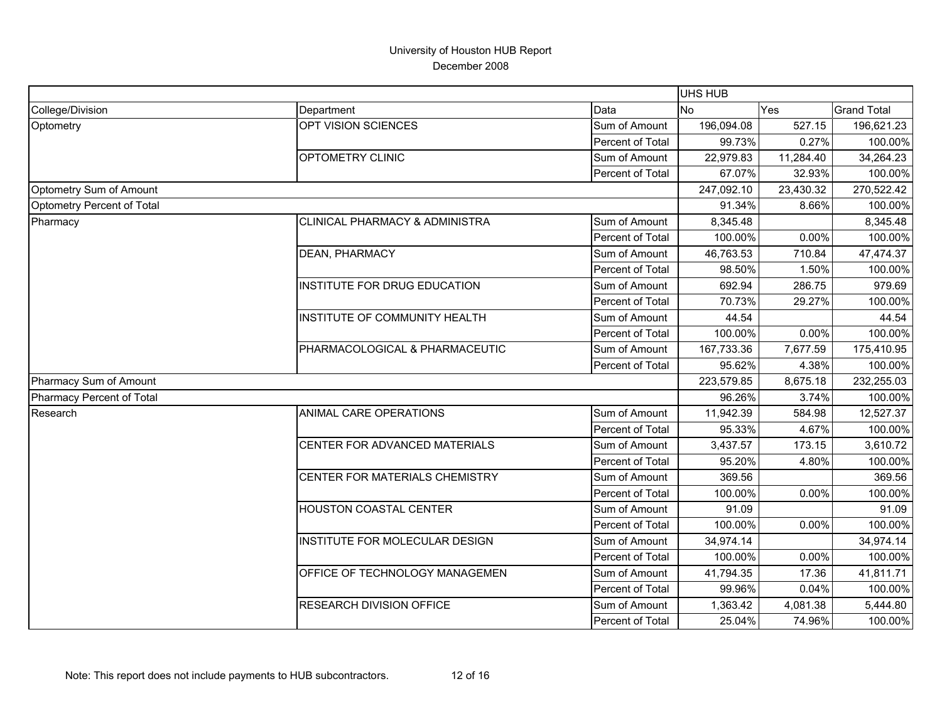|                            |                                           |                  | <b>UHS HUB</b> |           |                    |
|----------------------------|-------------------------------------------|------------------|----------------|-----------|--------------------|
| College/Division           | Department                                | Data             | <b>No</b>      | Yes       | <b>Grand Total</b> |
| Optometry                  | OPT VISION SCIENCES                       | Sum of Amount    | 196,094.08     | 527.15    | 196,621.23         |
|                            |                                           | Percent of Total | 99.73%         | 0.27%     | 100.00%            |
|                            | OPTOMETRY CLINIC                          | Sum of Amount    | 22,979.83      | 11,284.40 | 34,264.23          |
|                            |                                           | Percent of Total | 67.07%         | 32.93%    | 100.00%            |
| Optometry Sum of Amount    |                                           |                  | 247,092.10     | 23,430.32 | 270,522.42         |
| Optometry Percent of Total |                                           |                  | 91.34%         | 8.66%     | 100.00%            |
| Pharmacy                   | <b>CLINICAL PHARMACY &amp; ADMINISTRA</b> | Sum of Amount    | 8,345.48       |           | 8,345.48           |
|                            |                                           | Percent of Total | 100.00%        | 0.00%     | 100.00%            |
|                            | DEAN, PHARMACY                            | Sum of Amount    | 46,763.53      | 710.84    | 47,474.37          |
|                            |                                           | Percent of Total | 98.50%         | 1.50%     | 100.00%            |
|                            | INSTITUTE FOR DRUG EDUCATION              | Sum of Amount    | 692.94         | 286.75    | 979.69             |
|                            |                                           | Percent of Total | 70.73%         | 29.27%    | 100.00%            |
|                            | <b>INSTITUTE OF COMMUNITY HEALTH</b>      | Sum of Amount    | 44.54          |           | 44.54              |
|                            |                                           | Percent of Total | 100.00%        | 0.00%     | 100.00%            |
|                            | PHARMACOLOGICAL & PHARMACEUTIC            | Sum of Amount    | 167,733.36     | 7,677.59  | 175,410.95         |
|                            |                                           | Percent of Total | 95.62%         | 4.38%     | 100.00%            |
| Pharmacy Sum of Amount     |                                           |                  | 223,579.85     | 8,675.18  | 232,255.03         |
| Pharmacy Percent of Total  |                                           |                  | 96.26%         | 3.74%     | 100.00%            |
| Research                   | ANIMAL CARE OPERATIONS                    | Sum of Amount    | 11,942.39      | 584.98    | 12,527.37          |
|                            |                                           | Percent of Total | 95.33%         | 4.67%     | 100.00%            |
|                            | CENTER FOR ADVANCED MATERIALS             | Sum of Amount    | 3,437.57       | 173.15    | 3,610.72           |
|                            |                                           | Percent of Total | 95.20%         | 4.80%     | 100.00%            |
|                            | CENTER FOR MATERIALS CHEMISTRY            | Sum of Amount    | 369.56         |           | 369.56             |
|                            |                                           | Percent of Total | 100.00%        | 0.00%     | 100.00%            |
|                            | HOUSTON COASTAL CENTER                    | Sum of Amount    | 91.09          |           | 91.09              |
|                            |                                           | Percent of Total | 100.00%        | 0.00%     | 100.00%            |
|                            | INSTITUTE FOR MOLECULAR DESIGN            | Sum of Amount    | 34,974.14      |           | 34,974.14          |
|                            |                                           | Percent of Total | 100.00%        | 0.00%     | 100.00%            |
|                            | OFFICE OF TECHNOLOGY MANAGEMEN            | Sum of Amount    | 41,794.35      | 17.36     | 41,811.71          |
|                            |                                           | Percent of Total | 99.96%         | 0.04%     | 100.00%            |
|                            | <b>RESEARCH DIVISION OFFICE</b>           | Sum of Amount    | 1,363.42       | 4,081.38  | 5,444.80           |
|                            |                                           | Percent of Total | 25.04%         | 74.96%    | 100.00%            |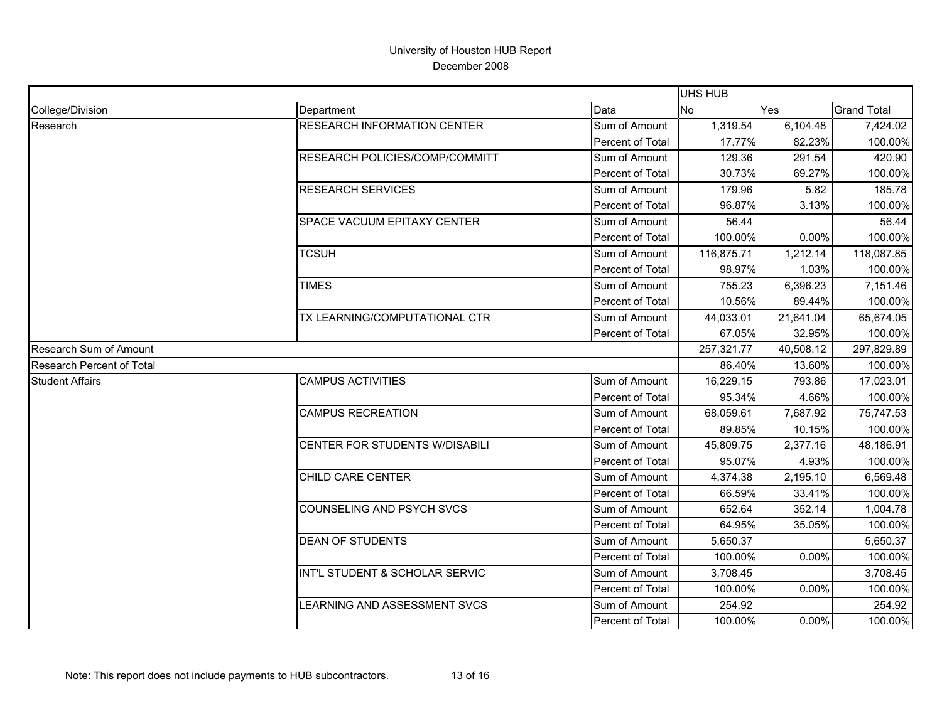|                           |                                    |                  | <b>UHS HUB</b> |           |                    |
|---------------------------|------------------------------------|------------------|----------------|-----------|--------------------|
| College/Division          | Department                         | Data             | <b>No</b>      | Yes       | <b>Grand Total</b> |
| Research                  | <b>RESEARCH INFORMATION CENTER</b> | Sum of Amount    | 1,319.54       | 6,104.48  | 7,424.02           |
|                           |                                    | Percent of Total | 17.77%         | 82.23%    | 100.00%            |
|                           | RESEARCH POLICIES/COMP/COMMITT     | Sum of Amount    | 129.36         | 291.54    | 420.90             |
|                           |                                    | Percent of Total | 30.73%         | 69.27%    | 100.00%            |
|                           | <b>RESEARCH SERVICES</b>           | Sum of Amount    | 179.96         | 5.82      | 185.78             |
|                           |                                    | Percent of Total | 96.87%         | 3.13%     | 100.00%            |
|                           | SPACE VACUUM EPITAXY CENTER        | Sum of Amount    | 56.44          |           | 56.44              |
|                           |                                    | Percent of Total | 100.00%        | 0.00%     | 100.00%            |
|                           | <b>TCSUH</b>                       | Sum of Amount    | 116,875.71     | 1,212.14  | 118,087.85         |
|                           |                                    | Percent of Total | 98.97%         | 1.03%     | 100.00%            |
|                           | <b>TIMES</b>                       | Sum of Amount    | 755.23         | 6,396.23  | 7,151.46           |
|                           |                                    | Percent of Total | 10.56%         | 89.44%    | 100.00%            |
|                           | TX LEARNING/COMPUTATIONAL CTR      | Sum of Amount    | 44,033.01      | 21,641.04 | 65,674.05          |
|                           |                                    | Percent of Total | 67.05%         | 32.95%    | 100.00%            |
| Research Sum of Amount    |                                    |                  | 257,321.77     | 40,508.12 | 297,829.89         |
| Research Percent of Total |                                    | 86.40%           | 13.60%         | 100.00%   |                    |
| <b>Student Affairs</b>    | <b>CAMPUS ACTIVITIES</b>           | Sum of Amount    | 16,229.15      | 793.86    | 17,023.01          |
|                           |                                    | Percent of Total | 95.34%         | 4.66%     | 100.00%            |
|                           | <b>CAMPUS RECREATION</b>           | Sum of Amount    | 68,059.61      | 7,687.92  | 75,747.53          |
|                           |                                    | Percent of Total | 89.85%         | 10.15%    | 100.00%            |
|                           | CENTER FOR STUDENTS W/DISABILI     | Sum of Amount    | 45,809.75      | 2,377.16  | 48,186.91          |
|                           |                                    | Percent of Total | 95.07%         | 4.93%     | 100.00%            |
|                           | CHILD CARE CENTER                  | Sum of Amount    | 4,374.38       | 2,195.10  | 6,569.48           |
|                           |                                    | Percent of Total | 66.59%         | 33.41%    | 100.00%            |
|                           | COUNSELING AND PSYCH SVCS          | Sum of Amount    | 652.64         | 352.14    | 1,004.78           |
|                           |                                    | Percent of Total | 64.95%         | 35.05%    | 100.00%            |
|                           | <b>DEAN OF STUDENTS</b>            | Sum of Amount    | 5,650.37       |           | 5,650.37           |
|                           |                                    | Percent of Total | 100.00%        | 0.00%     | 100.00%            |
|                           | INT'L STUDENT & SCHOLAR SERVIC     | Sum of Amount    | 3,708.45       |           | 3,708.45           |
|                           |                                    | Percent of Total | 100.00%        | 0.00%     | 100.00%            |
|                           | LEARNING AND ASSESSMENT SVCS       | Sum of Amount    | 254.92         |           | 254.92             |
|                           |                                    | Percent of Total | 100.00%        | 0.00%     | 100.00%            |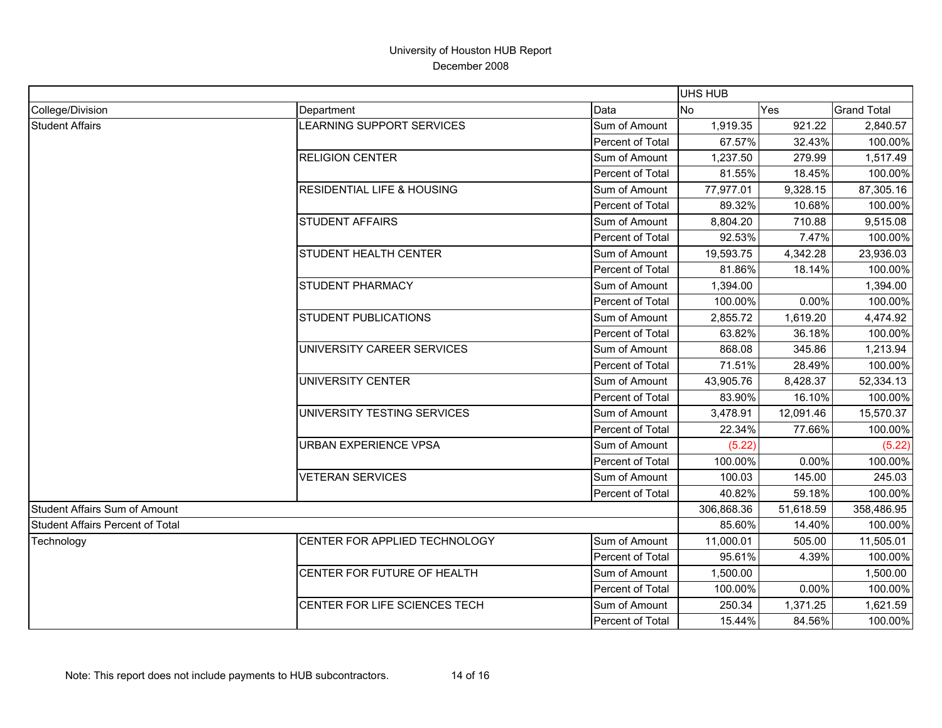|                                  |                                       |                  | <b>UHS HUB</b> |            |                    |
|----------------------------------|---------------------------------------|------------------|----------------|------------|--------------------|
| College/Division                 | Department                            | Data             | No             | Yes        | <b>Grand Total</b> |
| <b>Student Affairs</b>           | LEARNING SUPPORT SERVICES             | Sum of Amount    | 1,919.35       | 921.22     | 2,840.57           |
|                                  |                                       | Percent of Total | 67.57%         | 32.43%     | 100.00%            |
|                                  | <b>RELIGION CENTER</b>                | Sum of Amount    | 1,237.50       | 279.99     | 1,517.49           |
|                                  |                                       | Percent of Total | 81.55%         | 18.45%     | 100.00%            |
|                                  | <b>RESIDENTIAL LIFE &amp; HOUSING</b> | Sum of Amount    | 77,977.01      | 9,328.15   | 87,305.16          |
|                                  |                                       | Percent of Total | 89.32%         | 10.68%     | 100.00%            |
|                                  | <b>STUDENT AFFAIRS</b>                | Sum of Amount    | 8,804.20       | 710.88     | 9,515.08           |
|                                  |                                       | Percent of Total | 92.53%         | 7.47%      | 100.00%            |
|                                  | STUDENT HEALTH CENTER                 | Sum of Amount    | 19,593.75      | 4,342.28   | 23,936.03          |
|                                  |                                       | Percent of Total | 81.86%         | 18.14%     | 100.00%            |
|                                  | <b>STUDENT PHARMACY</b>               | Sum of Amount    | 1,394.00       |            | 1,394.00           |
|                                  |                                       | Percent of Total | 100.00%        | 0.00%      | 100.00%            |
|                                  | <b>STUDENT PUBLICATIONS</b>           | Sum of Amount    | 2,855.72       | 1,619.20   | 4,474.92           |
|                                  |                                       | Percent of Total | 63.82%         | 36.18%     | 100.00%            |
|                                  | UNIVERSITY CAREER SERVICES            | Sum of Amount    | 868.08         | 345.86     | 1,213.94           |
|                                  |                                       | Percent of Total | 71.51%         | 28.49%     | 100.00%            |
|                                  | <b>UNIVERSITY CENTER</b>              | Sum of Amount    | 43,905.76      | 8,428.37   | 52,334.13          |
|                                  |                                       | Percent of Total | 83.90%         | 16.10%     | 100.00%            |
|                                  | UNIVERSITY TESTING SERVICES           | Sum of Amount    | 3,478.91       | 12,091.46  | 15,570.37          |
|                                  |                                       | Percent of Total | 22.34%         | 77.66%     | 100.00%            |
|                                  | URBAN EXPERIENCE VPSA                 | Sum of Amount    | (5.22)         |            | (5.22)             |
|                                  |                                       | Percent of Total | 100.00%        | 0.00%      | 100.00%            |
|                                  | <b>VETERAN SERVICES</b>               | Sum of Amount    | 100.03         | 145.00     | 245.03             |
|                                  |                                       | Percent of Total | 40.82%         | 59.18%     | 100.00%            |
| Student Affairs Sum of Amount    |                                       | 306,868.36       | 51,618.59      | 358,486.95 |                    |
| Student Affairs Percent of Total |                                       | 85.60%           | 14.40%         | 100.00%    |                    |
| Technology                       | CENTER FOR APPLIED TECHNOLOGY         | Sum of Amount    | 11,000.01      | 505.00     | 11,505.01          |
|                                  |                                       | Percent of Total | 95.61%         | 4.39%      | 100.00%            |
|                                  | CENTER FOR FUTURE OF HEALTH           | Sum of Amount    | 1,500.00       |            | 1,500.00           |
|                                  |                                       | Percent of Total | 100.00%        | 0.00%      | 100.00%            |
|                                  | CENTER FOR LIFE SCIENCES TECH         | Sum of Amount    | 250.34         | 1,371.25   | 1,621.59           |
|                                  |                                       | Percent of Total | 15.44%         | 84.56%     | 100.00%            |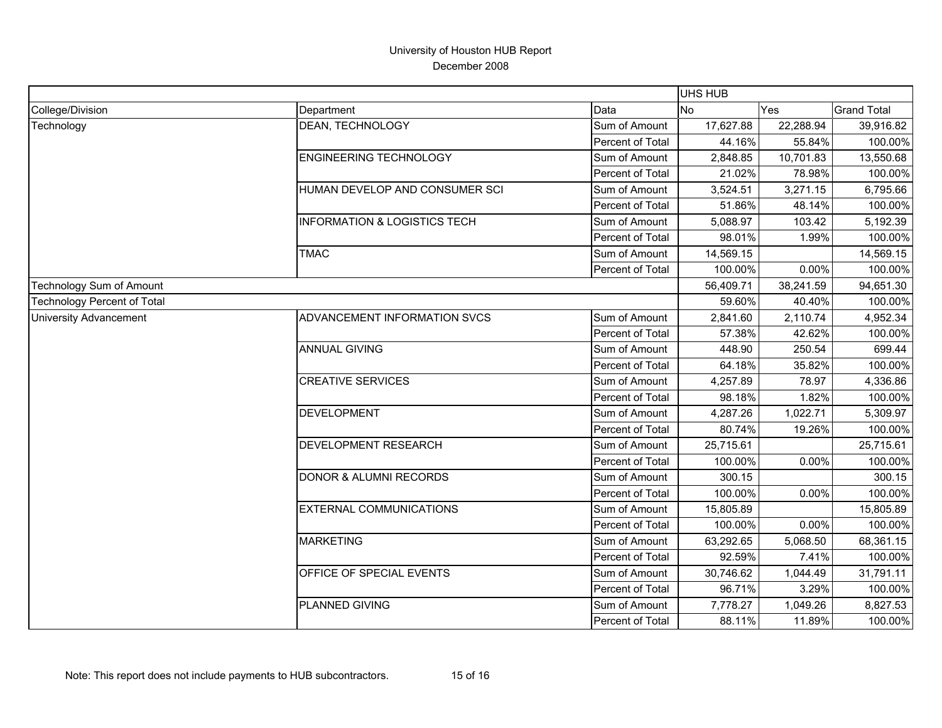|                                    | UHS HUB                                 |                  |           |           |                    |
|------------------------------------|-----------------------------------------|------------------|-----------|-----------|--------------------|
| College/Division                   | Department                              | Data             | <b>No</b> | Yes       | <b>Grand Total</b> |
| Technology                         | <b>DEAN, TECHNOLOGY</b>                 | Sum of Amount    | 17,627.88 | 22,288.94 | 39,916.82          |
|                                    |                                         | Percent of Total | 44.16%    | 55.84%    | 100.00%            |
|                                    | <b>ENGINEERING TECHNOLOGY</b>           | Sum of Amount    | 2,848.85  | 10,701.83 | 13,550.68          |
|                                    |                                         | Percent of Total | 21.02%    | 78.98%    | 100.00%            |
|                                    | HUMAN DEVELOP AND CONSUMER SCI          | Sum of Amount    | 3,524.51  | 3,271.15  | 6,795.66           |
|                                    |                                         | Percent of Total | 51.86%    | 48.14%    | 100.00%            |
|                                    | <b>INFORMATION &amp; LOGISTICS TECH</b> | Sum of Amount    | 5,088.97  | 103.42    | 5,192.39           |
|                                    |                                         | Percent of Total | 98.01%    | 1.99%     | 100.00%            |
|                                    | <b>TMAC</b>                             | Sum of Amount    | 14,569.15 |           | 14,569.15          |
|                                    |                                         | Percent of Total | 100.00%   | 0.00%     | 100.00%            |
| Technology Sum of Amount           |                                         |                  | 56,409.71 | 38,241.59 | 94,651.30          |
| <b>Technology Percent of Total</b> |                                         |                  | 59.60%    | 40.40%    | 100.00%            |
| <b>University Advancement</b>      | ADVANCEMENT INFORMATION SVCS            | Sum of Amount    | 2,841.60  | 2,110.74  | 4,952.34           |
|                                    |                                         | Percent of Total | 57.38%    | 42.62%    | 100.00%            |
|                                    | <b>ANNUAL GIVING</b>                    | Sum of Amount    | 448.90    | 250.54    | 699.44             |
|                                    |                                         | Percent of Total | 64.18%    | 35.82%    | 100.00%            |
|                                    | <b>CREATIVE SERVICES</b>                | Sum of Amount    | 4,257.89  | 78.97     | 4,336.86           |
|                                    |                                         | Percent of Total | 98.18%    | 1.82%     | 100.00%            |
|                                    | <b>DEVELOPMENT</b>                      | Sum of Amount    | 4,287.26  | 1,022.71  | 5,309.97           |
|                                    |                                         | Percent of Total | 80.74%    | 19.26%    | 100.00%            |
|                                    | DEVELOPMENT RESEARCH                    | Sum of Amount    | 25,715.61 |           | 25,715.61          |
|                                    |                                         | Percent of Total | 100.00%   | 0.00%     | 100.00%            |
|                                    | <b>DONOR &amp; ALUMNI RECORDS</b>       | Sum of Amount    | 300.15    |           | 300.15             |
|                                    |                                         | Percent of Total | 100.00%   | 0.00%     | 100.00%            |
|                                    | <b>EXTERNAL COMMUNICATIONS</b>          | Sum of Amount    | 15,805.89 |           | 15,805.89          |
|                                    |                                         | Percent of Total | 100.00%   | 0.00%     | 100.00%            |
|                                    | <b>MARKETING</b>                        | Sum of Amount    | 63,292.65 | 5,068.50  | 68,361.15          |
|                                    |                                         | Percent of Total | 92.59%    | 7.41%     | 100.00%            |
|                                    | OFFICE OF SPECIAL EVENTS                | Sum of Amount    | 30,746.62 | 1,044.49  | 31,791.11          |
|                                    |                                         | Percent of Total | 96.71%    | 3.29%     | 100.00%            |
|                                    | <b>PLANNED GIVING</b>                   | Sum of Amount    | 7,778.27  | 1,049.26  | 8,827.53           |
|                                    |                                         | Percent of Total | 88.11%    | 11.89%    | 100.00%            |